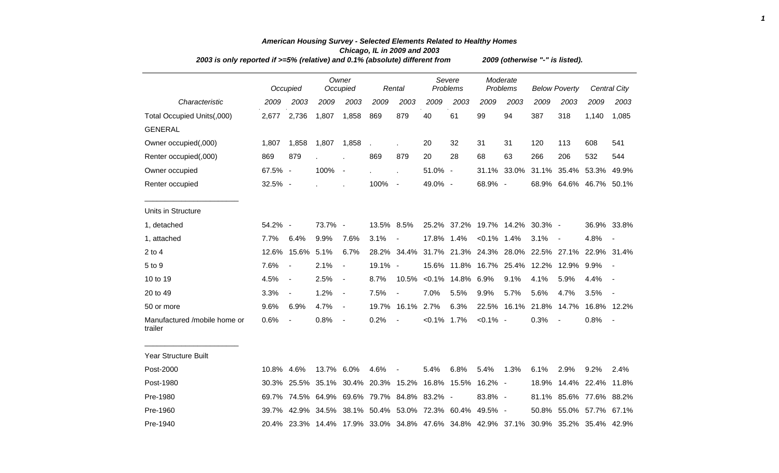| 2003 is only reported if >=5% (relative) and 0.1% (absolute) different from |            |                                             |            |                          |            |                          | 2009 (otherwise "-" is listed). |                                                             |                |                      |                               |                         |         |                          |
|-----------------------------------------------------------------------------|------------|---------------------------------------------|------------|--------------------------|------------|--------------------------|---------------------------------|-------------------------------------------------------------|----------------|----------------------|-------------------------------|-------------------------|---------|--------------------------|
|                                                                             |            | Occupied                                    |            | Owner<br>Occupied        |            | Rental                   |                                 | Severe<br>Problems                                          |                | Moderate<br>Problems |                               | <b>Below Poverty</b>    |         | Central City             |
| Characteristic                                                              | 2009       | 2003                                        | 2009       | 2003                     | 2009       | 2003                     | 2009                            | 2003                                                        | 2009           | 2003                 | 2009                          | 2003                    | 2009    | 2003                     |
| Total Occupied Units(,000)                                                  | 2,677      | 2,736                                       | 1,807      | 1,858                    | 869        | 879                      | 40                              | 61                                                          | 99             | 94                   | 387                           | 318                     | 1,140   | 1,085                    |
| <b>GENERAL</b>                                                              |            |                                             |            |                          |            |                          |                                 |                                                             |                |                      |                               |                         |         |                          |
| Owner occupied(,000)                                                        | 1,807      | 1,858                                       | 1,807      | 1,858                    |            |                          | 20                              | 32                                                          | 31             | 31                   | 120                           | 113                     | 608     | 541                      |
| Renter occupied(,000)                                                       | 869        | 879                                         |            |                          | 869        | 879                      | 20                              | 28                                                          | 68             | 63                   | 266                           | 206                     | 532     | 544                      |
| Owner occupied                                                              | 67.5% -    |                                             | 100%       | $\blacksquare$           |            | $\mathbf{r}$             | 51.0% -                         |                                                             | 31.1%          | 33.0%                |                               | 31.1% 35.4%             | 53.3%   | 49.9%                    |
| Renter occupied                                                             | 32.5% -    |                                             |            |                          | 100%       | $\sim$ $-$               | 49.0% -                         |                                                             | 68.9% -        |                      |                               | 68.9% 64.6% 46.7% 50.1% |         |                          |
| Units in Structure                                                          |            |                                             |            |                          |            |                          |                                 |                                                             |                |                      |                               |                         |         |                          |
| 1, detached                                                                 | 54.2% -    |                                             | 73.7% -    |                          | 13.5% 8.5% |                          |                                 | 25.2% 37.2% 19.7% 14.2%                                     |                |                      | 30.3% -                       |                         |         | 36.9% 33.8%              |
| 1, attached                                                                 | 7.7%       | 6.4%                                        | 9.9%       | 7.6%                     | 3.1%       | $\overline{\phantom{a}}$ | 17.8% 1.4%                      |                                                             | $< 0.1\%$ 1.4% |                      | 3.1%                          | $\sim$                  | 4.8%    | $\overline{\phantom{a}}$ |
| $2$ to $4$                                                                  | 12.6%      | 15.6%                                       | 5.1%       | 6.7%                     |            | 28.2% 34.4%              | 31.7%                           |                                                             |                |                      | 21.3% 24.3% 28.0% 22.5% 27.1% |                         |         | 22.9% 31.4%              |
| 5 to 9                                                                      | 7.6%       | $\overline{\phantom{a}}$                    | 2.1%       | $\blacksquare$           | 19.1% -    |                          | 15.6%                           | 11.8%                                                       |                | 16.7% 25.4%          | 12.2%                         | 12.9%                   | $9.9\%$ | $\blacksquare$           |
| 10 to 19                                                                    | 4.5%       | $\blacksquare$                              | 2.5%       | $\blacksquare$           | 8.7%       | 10.5%                    |                                 | $<0.1\%$ 14.8% 6.9%                                         |                | 9.1%                 | 4.1%                          | 5.9%                    | 4.4%    | $\overline{\phantom{a}}$ |
| 20 to 49                                                                    | 3.3%       | $\blacksquare$                              | 1.2%       | $\blacksquare$           | 7.5%       |                          | 7.0%                            | 5.5%                                                        | 9.9%           | 5.7%                 | 5.6%                          | 4.7%                    | 3.5%    |                          |
| 50 or more                                                                  | 9.6%       | 6.9%                                        | 4.7%       | $\blacksquare$           |            | 19.7% 16.1%              | 2.7%                            | 6.3%                                                        |                | 22.5% 16.1%          |                               | 21.8% 14.7%             |         | 16.8% 12.2%              |
| Manufactured /mobile home or<br>trailer                                     | 0.6%       | $\blacksquare$                              | 0.8%       | $\overline{\phantom{a}}$ | 0.2%       | $\blacksquare$           | $< 0.1\%$ 1.7%                  |                                                             | $< 0.1\%$ -    |                      | 0.3%                          |                         | 0.8%    |                          |
| <b>Year Structure Built</b>                                                 |            |                                             |            |                          |            |                          |                                 |                                                             |                |                      |                               |                         |         |                          |
| Post-2000                                                                   | 10.8% 4.6% |                                             | 13.7% 6.0% |                          | 4.6%       | $\overline{\phantom{a}}$ | 5.4%                            | 6.8%                                                        | 5.4%           | 1.3%                 | 6.1%                          | 2.9%                    | 9.2%    | 2.4%                     |
| Post-1980                                                                   | 30.3%      |                                             |            |                          |            |                          |                                 | 25.5% 35.1% 30.4% 20.3% 15.2% 16.8% 15.5%                   | $16.2%$ -      |                      |                               | 18.9% 14.4% 22.4% 11.8% |         |                          |
| Pre-1980                                                                    |            | 69.7% 74.5% 64.9% 69.6% 79.7% 84.8% 83.2% - |            |                          |            |                          |                                 |                                                             | 83.8% -        |                      |                               | 81.1% 85.6% 77.6% 88.2% |         |                          |
| Pre-1960                                                                    | 39.7%      |                                             |            |                          |            |                          |                                 | 42.9% 34.5% 38.1% 50.4% 53.0% 72.3% 60.4%                   | 49.5% -        |                      |                               | 50.8% 55.0% 57.7% 67.1% |         |                          |
| Pre-1940                                                                    |            |                                             |            |                          |            |                          |                                 | 20.4% 23.3% 14.4% 17.9% 33.0% 34.8% 47.6% 34.8% 42.9% 37.1% |                |                      |                               | 30.9% 35.2% 35.4% 42.9% |         |                          |

## *American Housing Survey - Selected Elements Related to Healthy Homes Chicago, IL in 2009 and 2003*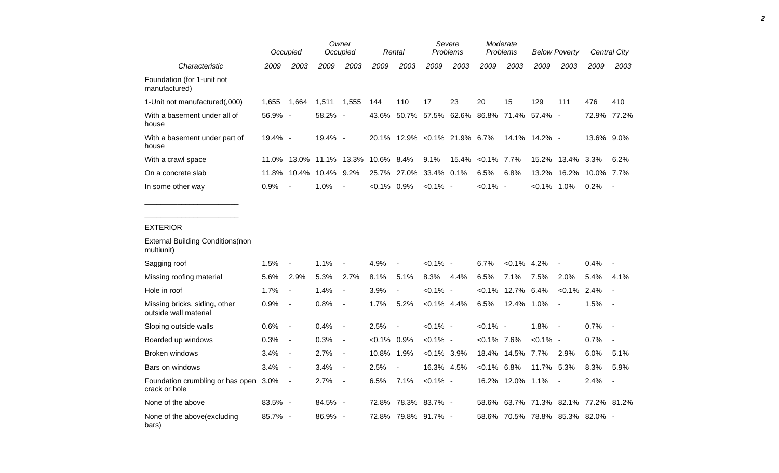|                                             |            | Occupied       | Owner<br>Occupied |        |               | Rental |                        | Severe<br><b>Problems</b> |                        | Moderate<br><b>Problems</b> |            | <b>Below Poverty</b> |            | Central City             |
|---------------------------------------------|------------|----------------|-------------------|--------|---------------|--------|------------------------|---------------------------|------------------------|-----------------------------|------------|----------------------|------------|--------------------------|
| Characteristic                              | 2009       | 2003           | 2009              | 2003   | 2009          | 2003   | 2009                   | 2003                      | 2009                   | 2003                        | 2009       | 2003                 | 2009       | 2003                     |
| Foundation (for 1-unit not<br>manufactured) |            |                |                   |        |               |        |                        |                           |                        |                             |            |                      |            |                          |
| 1-Unit not manufactured(,000)               | 1,655      | 1,664          | 1,511             | 1,555  | 144           | 110    | 17                     | 23                        | 20                     | 15                          | 129        | 111                  | 476        | 410                      |
| With a basement under all of<br>house       | $56.9\%$ - |                | $58.2\% -$        |        | 43.6%         | 50.7%  | 57.5%                  | 62.6%                     |                        | 86.8% 71.4%                 | 57.4% -    |                      | 72.9%      | 77.2%                    |
| With a basement under part of<br>house      | $19.4\%$ - |                | $19.4\%$ -        |        | 20.1%         |        |                        | 12.9% < 0.1% 21.9% 6.7%   |                        | 14.1%                       | $14.2\%$ - |                      | 13.6% 9.0% |                          |
| With a crawl space                          | 11.0%      | 13.0%          | 11.1%             | 13.3%  | 10.6% 8.4%    |        | $9.1\%$                |                           | $15.4\%$ < 0.1\% 7.7\% |                             | 15.2%      | 13.4% 3.3%           |            | $6.2\%$                  |
| On a concrete slab                          | 11.8%      | $10.4\%$       | 10.4% 9.2%        |        |               |        | 25.7% 27.0% 33.4% 0.1% |                           | 6.5%                   | 6.8%                        | 13.2%      | 16.2%                | 10.0%      | $7.7\%$                  |
| In some other way                           | 0.9%       | $\blacksquare$ | 1.0%              | $\sim$ | $<0.1\%$ 0.9% |        | $< 0.1\%$ -            |                           | $< 0.1\%$ -            |                             | $< 0.1\%$  | 1.0%                 | $0.2\%$    | $\overline{\phantom{a}}$ |

## EXTERIOR

| <b>External Building Conditions (non</b><br>multiunit) |            |                          |            |                          |               |                          |             |         |               |                  |                   |                |                           |                          |
|--------------------------------------------------------|------------|--------------------------|------------|--------------------------|---------------|--------------------------|-------------|---------|---------------|------------------|-------------------|----------------|---------------------------|--------------------------|
| Sagging roof                                           | 1.5%       | $\sim$                   | 1.1%       | $\blacksquare$           | 4.9%          | $\sim$                   | $< 0.1\%$ - |         | 6.7%          | $< 0.1\%$ 4.2%   |                   | $\blacksquare$ | 0.4%                      | $\overline{\phantom{0}}$ |
| Missing roofing material                               | 5.6%       | 2.9%                     | 5.3%       | 2.7%                     | 8.1%          | 5.1%                     | 8.3%        | 4.4%    | 6.5%          | 7.1%             | 7.5%              | 2.0%           | 5.4%                      | 4.1%                     |
| Hole in roof                                           | 1.7%       | $\blacksquare$           | 1.4%       | $\overline{\phantom{a}}$ | 3.9%          | $\overline{\phantom{a}}$ | $< 0.1\%$ - |         | $< 0.1\%$     | 12.7%            | 6.4%              | $< 0.1\%$      | 2.4%                      | $\overline{\phantom{0}}$ |
| Missing bricks, siding, other<br>outside wall material | 0.9%       | $\blacksquare$           | 0.8%       | $\blacksquare$           | 1.7%          | 5.2%                     | $< 0.1\%$   | 4.4%    | 6.5%          | 12.4%            | $1.0\%$           | $\blacksquare$ | 1.5%                      | $\sim$                   |
| Sloping outside walls                                  | $0.6\%$    | $\blacksquare$           | 0.4%       | $\blacksquare$           | 2.5%          | $\overline{\phantom{a}}$ | $< 0.1\%$ - |         | $< 0.1\%$ -   |                  | 1.8%              | $\sim$         | 0.7%                      | $\overline{\phantom{a}}$ |
| Boarded up windows                                     | 0.3%       | $\overline{\phantom{a}}$ | 0.3%       | $\blacksquare$           | $<0.1\%$ 0.9% |                          | $< 0.1\%$ - |         | $<0.1\%$ 7.6% |                  | $< 0.1\%$ -       |                | 0.7%                      | $\overline{\phantom{a}}$ |
| <b>Broken windows</b>                                  | 3.4%       | $\overline{\phantom{a}}$ | 2.7%       | $\blacksquare$           | 10.8%         | 1.9%                     | $< 0.1\%$   | $3.9\%$ | 18.4%         | 14.5%            | 7.7%              | 2.9%           | 6.0%                      | 5.1%                     |
| Bars on windows                                        | 3.4%       | $\sim$                   | 3.4%       | $\blacksquare$           | 2.5%          | $\blacksquare$           | 16.3%       | 4.5%    | $< 0.1\%$     | $6.8\%$          | 11.7%             | 5.3%           | 8.3%                      | 5.9%                     |
| Foundation crumbling or has open<br>crack or hole      | $3.0\%$    | $\sim$                   | 2.7%       | $\blacksquare$           | 6.5%          | 7.1%                     | $< 0.1\%$ - |         |               | 16.2% 12.0% 1.1% |                   | $\blacksquare$ | 2.4%                      | $\overline{\phantom{a}}$ |
| None of the above                                      | $83.5\% -$ |                          | $84.5\%$ - |                          |               | 72.8% 78.3% 83.7% -      |             |         | 58.6%         |                  | 63.7% 71.3% 82.1% |                | 77.2%                     | 81.2%                    |
| None of the above (excluding<br>bars)                  | 85.7% -    |                          | 86.9% -    |                          |               | 72.8% 79.8% 91.7% -      |             |         | 58.6%         |                  |                   |                | 70.5% 78.8% 85.3% 82.0% - |                          |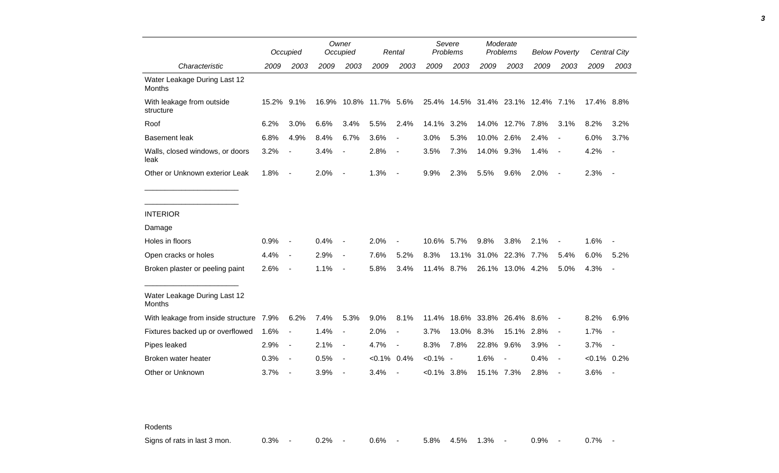|                                               |            | Occupied                 |       | Owner<br>Occupied        |                  | Rental                   |               | Severe<br>Problems           |            | Moderate<br>Problems |                                    | <b>Below Poverty</b>     |                | Central City             |
|-----------------------------------------------|------------|--------------------------|-------|--------------------------|------------------|--------------------------|---------------|------------------------------|------------|----------------------|------------------------------------|--------------------------|----------------|--------------------------|
| Characteristic                                | 2009       | 2003                     | 2009  | 2003                     | 2009             | 2003                     | 2009          | 2003                         | 2009       | 2003                 | 2009                               | 2003                     | 2009           | 2003                     |
| Water Leakage During Last 12<br><b>Months</b> |            |                          |       |                          |                  |                          |               |                              |            |                      |                                    |                          |                |                          |
| With leakage from outside<br>structure        | 15.2% 9.1% |                          | 16.9% |                          | 10.8% 11.7% 5.6% |                          |               |                              |            |                      | 25.4% 14.5% 31.4% 23.1% 12.4% 7.1% |                          | 17.4% 8.8%     |                          |
| Roof                                          | 6.2%       | 3.0%                     | 6.6%  | 3.4%                     | 5.5%             | 2.4%                     | 14.1%         | 3.2%                         | 14.0%      | 12.7%                | 7.8%                               | 3.1%                     | 8.2%           | 3.2%                     |
| <b>Basement leak</b>                          | 6.8%       | 4.9%                     | 8.4%  | 6.7%                     | 3.6%             | $\overline{\phantom{a}}$ | 3.0%          | 5.3%                         | 10.0%      | 2.6%                 | 2.4%                               | $\overline{a}$           | 6.0%           | 3.7%                     |
| Walls, closed windows, or doors<br>leak       | 3.2%       |                          | 3.4%  |                          | 2.8%             | $\overline{\phantom{a}}$ | 3.5%          | 7.3%                         | 14.0%      | 9.3%                 | 1.4%                               | $\overline{\phantom{a}}$ | 4.2%           |                          |
| Other or Unknown exterior Leak                | 1.8%       | $\overline{\phantom{a}}$ | 2.0%  | $\overline{\phantom{a}}$ | 1.3%             | $\overline{\phantom{a}}$ | 9.9%          | 2.3%                         | 5.5%       | 9.6%                 | 2.0%                               | $\blacksquare$           | 2.3%           | $\overline{\phantom{a}}$ |
|                                               |            |                          |       |                          |                  |                          |               |                              |            |                      |                                    |                          |                |                          |
| <b>INTERIOR</b>                               |            |                          |       |                          |                  |                          |               |                              |            |                      |                                    |                          |                |                          |
| Damage                                        |            |                          |       |                          |                  |                          |               |                              |            |                      |                                    |                          |                |                          |
| Holes in floors                               | 0.9%       |                          | 0.4%  |                          | 2.0%             |                          | 10.6%         | 5.7%                         | 9.8%       | 3.8%                 | 2.1%                               | $\overline{a}$           | 1.6%           |                          |
| Open cracks or holes                          | 4.4%       | $\blacksquare$           | 2.9%  | $\overline{\phantom{a}}$ | 7.6%             | 5.2%                     | 8.3%          | 13.1%                        | 31.0%      | 22.3%                | 7.7%                               | 5.4%                     | 6.0%           | 5.2%                     |
| Broken plaster or peeling paint               | 2.6%       | $\blacksquare$           | 1.1%  | $\overline{\phantom{a}}$ | 5.8%             | 3.4%                     | 11.4% 8.7%    |                              |            | 26.1% 13.0% 4.2%     |                                    | 5.0%                     | 4.3%           |                          |
| Water Leakage During Last 12<br><b>Months</b> |            |                          |       |                          |                  |                          |               |                              |            |                      |                                    |                          |                |                          |
| With leakage from inside structure 7.9%       |            | 6.2%                     | 7.4%  | 5.3%                     | 9.0%             | 8.1%                     |               | 11.4% 18.6% 33.8% 26.4% 8.6% |            |                      |                                    | $\blacksquare$           | 8.2%           | 6.9%                     |
| Fixtures backed up or overflowed              | 1.6%       | $\blacksquare$           | 1.4%  |                          | 2.0%             | $\overline{\phantom{a}}$ | 3.7%          | 13.0%                        | 8.3%       | 15.1%                | 2.8%                               | $\blacksquare$           | 1.7%           |                          |
| Pipes leaked                                  | 2.9%       | $\overline{\phantom{a}}$ | 2.1%  | $\blacksquare$           | 4.7%             |                          | 8.3%          | 7.8%                         | 22.8%      | 9.6%                 | 3.9%                               | $\blacksquare$           | 3.7%           | $\overline{\phantom{a}}$ |
| Broken water heater                           | 0.3%       | $\blacksquare$           | 0.5%  | $\overline{\phantom{a}}$ | $< 0.1\%$ 0.4%   |                          | $< 0.1\%$ -   |                              | 1.6%       |                      | 0.4%                               | $\overline{\phantom{a}}$ | $< 0.1\%$ 0.2% |                          |
| Other or Unknown                              | 3.7%       |                          | 3.9%  |                          | 3.4%             |                          | $<0.1\%$ 3.8% |                              | 15.1% 7.3% |                      | 2.8%                               |                          | 3.6%           | $\overline{\phantom{a}}$ |

Rodents

Signs of rats in last 3 mon.  $0.3\%$  - 0.2% - 0.6% - 5.8% 4.5% 1.3% - 0.9% - 0.7% -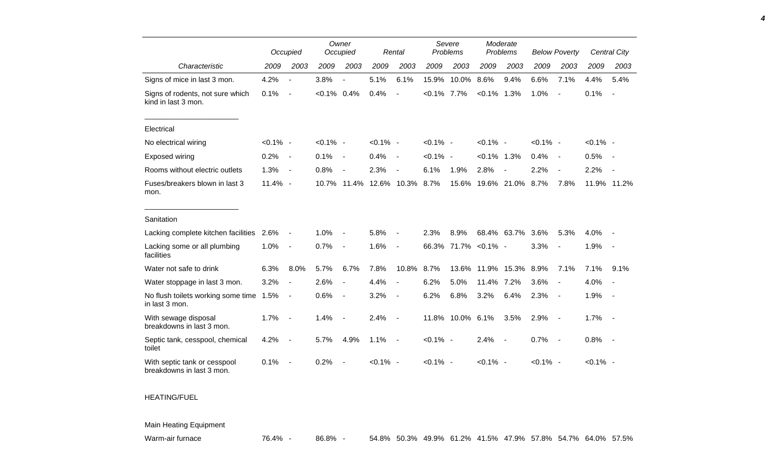|                                                           |             | Occupied                 |                | Owner<br>Occupied        |             | Rental                   |             | Severe<br>Problems |                | Moderate<br>Problems |             | <b>Below Poverty</b>     |             | Central City             |
|-----------------------------------------------------------|-------------|--------------------------|----------------|--------------------------|-------------|--------------------------|-------------|--------------------|----------------|----------------------|-------------|--------------------------|-------------|--------------------------|
| Characteristic                                            | 2009        | 2003                     | 2009           | 2003                     | 2009        | 2003                     | 2009        | 2003               | 2009           | 2003                 | 2009        | 2003                     | 2009        | 2003                     |
| Signs of mice in last 3 mon.                              | 4.2%        | $\blacksquare$           | 3.8%           |                          | 5.1%        | 6.1%                     | 15.9%       | 10.0%              | 8.6%           | 9.4%                 | 6.6%        | 7.1%                     | 4.4%        | 5.4%                     |
| Signs of rodents, not sure which<br>kind in last 3 mon.   | 0.1%        | $\blacksquare$           | $< 0.1\%$ 0.4% |                          | 0.4%        | $\overline{a}$           | $< 0.1\%$   | 7.7%               | $< 0.1\%$ 1.3% |                      | 1.0%        | $\blacksquare$           | 0.1%        | $\overline{\phantom{a}}$ |
| Electrical                                                |             |                          |                |                          |             |                          |             |                    |                |                      |             |                          |             |                          |
| No electrical wiring                                      | $< 0.1\%$ - |                          | $< 0.1\%$ -    |                          | $< 0.1\%$ - |                          | $< 0.1\%$ - |                    | $< 0.1\%$ -    |                      | $< 0.1\%$ - |                          | $< 0.1\%$ - |                          |
| Exposed wiring                                            | 0.2%        | $\overline{\phantom{a}}$ | 0.1%           | $\blacksquare$           | 0.4%        | $\overline{\phantom{a}}$ | $< 0.1\%$ - |                    | $< 0.1\%$ 1.3% |                      | 0.4%        | $\overline{\phantom{a}}$ | 0.5%        |                          |
| Rooms without electric outlets                            | 1.3%        | $\blacksquare$           | 0.8%           |                          | 2.3%        |                          | 6.1%        | 1.9%               | 2.8%           | $\sim$               | 2.2%        | $\blacksquare$           | 2.2%        |                          |
| Fuses/breakers blown in last 3<br>mon.                    | 11.4% -     |                          | 10.7%          | 11.4%                    | 12.6%       | 10.3%                    | 8.7%        | 15.6%              |                | 19.6% 21.0%          | 8.7%        | 7.8%                     |             | 11.9% 11.2%              |
| Sanitation                                                |             |                          |                |                          |             |                          |             |                    |                |                      |             |                          |             |                          |
| Lacking complete kitchen facilities 2.6%                  |             | $\overline{\phantom{a}}$ | 1.0%           |                          | 5.8%        |                          | 2.3%        | 8.9%               |                | 68.4% 63.7%          | 3.6%        | 5.3%                     | 4.0%        |                          |
| Lacking some or all plumbing<br>facilities                | 1.0%        | $\blacksquare$           | 0.7%           | $\blacksquare$           | 1.6%        | $\overline{\phantom{a}}$ | 66.3%       | 71.7% < 0.1% -     |                |                      | 3.3%        | $\blacksquare$           | 1.9%        | $\overline{\phantom{a}}$ |
| Water not safe to drink                                   | 6.3%        | 8.0%                     | 5.7%           | 6.7%                     | 7.8%        | 10.8%                    | 8.7%        | 13.6%              | 11.9%          | 15.3%                | 8.9%        | 7.1%                     | 7.1%        | 9.1%                     |
| Water stoppage in last 3 mon.                             | 3.2%        | $\overline{\phantom{a}}$ | 2.6%           | $\overline{\phantom{a}}$ | 4.4%        | $\overline{a}$           | 6.2%        | 5.0%               | 11.4%          | 7.2%                 | 3.6%        |                          | 4.0%        |                          |
| No flush toilets working some time 1.5%<br>in last 3 mon. |             | $\overline{\phantom{a}}$ | 0.6%           | $\overline{\phantom{a}}$ | 3.2%        | $\overline{a}$           | 6.2%        | 6.8%               | 3.2%           | 6.4%                 | 2.3%        | $\overline{\phantom{a}}$ | 1.9%        |                          |
| With sewage disposal<br>breakdowns in last 3 mon.         | 1.7%        | $\overline{\phantom{a}}$ | 1.4%           |                          | 2.4%        | $\overline{\phantom{a}}$ | 11.8%       | 10.0%              | 6.1%           | 3.5%                 | 2.9%        | $\sim$                   | 1.7%        | $\sim$                   |
| Septic tank, cesspool, chemical<br>toilet                 | 4.2%        | $\overline{\phantom{a}}$ | 5.7%           | 4.9%                     | 1.1%        | $\overline{\phantom{a}}$ | $< 0.1\%$ - |                    | 2.4%           | $\blacksquare$       | 0.7%        | $\sim$                   | 0.8%        | $\sim$ $-$               |
| With septic tank or cesspool<br>breakdowns in last 3 mon. | 0.1%        | $\overline{\phantom{a}}$ | 0.2%           |                          | $< 0.1\%$ - |                          | $< 0.1\%$ - |                    | $< 0.1\%$ -    |                      | $< 0.1\%$ - |                          | $< 0.1\%$ - |                          |

## HEATING/FUEL

Main Heating Equipment

Warm-air furnace 2001 2004 100 76.4% - 86.8% - 54.8% 50.3% 49.9% 61.2% 41.5% 47.9% 57.8% 54.7% 64.0% 57.5%

*4*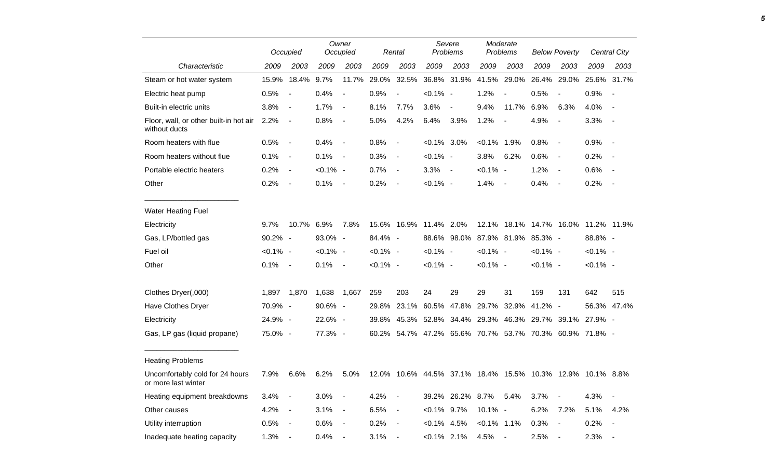|                                                         |             | Occupied       | Owner<br>Occupied |                          | Rental      |                          | Severe<br>Problems |                  | Moderate<br>Problems |                                 | <b>Below Poverty</b> |                                                            | Central City |             |
|---------------------------------------------------------|-------------|----------------|-------------------|--------------------------|-------------|--------------------------|--------------------|------------------|----------------------|---------------------------------|----------------------|------------------------------------------------------------|--------------|-------------|
| Characteristic                                          | 2009        | 2003           | 2009              | 2003                     | 2009        | 2003                     | 2009               | 2003             | 2009                 | 2003                            | 2009                 | 2003                                                       | 2009         | 2003        |
| Steam or hot water system                               | 15.9%       | 18.4%          | 9.7%              | 11.7%                    |             | 29.0% 32.5%              |                    | 36.8% 31.9%      |                      | 41.5% 29.0% 26.4%               |                      | 29.0%                                                      |              | 25.6% 31.7% |
| Electric heat pump                                      | 0.5%        | $\blacksquare$ | 0.4%              | $\blacksquare$           | 0.9%        | $\blacksquare$           | $< 0.1\%$ -        |                  | 1.2%                 |                                 | 0.5%                 | $\overline{\phantom{a}}$                                   | 0.9%         | $\sim$ $-$  |
| Built-in electric units                                 | 3.8%        | $\blacksquare$ | 1.7%              | $\blacksquare$           | 8.1%        | 7.7%                     | 3.6%               | $\blacksquare$   | 9.4%                 | 11.7%                           | 6.9%                 | 6.3%                                                       | 4.0%         | $\sim$ $-$  |
| Floor, wall, or other built-in hot air<br>without ducts | 2.2%        | $\blacksquare$ | 0.8%              | $\overline{\phantom{a}}$ | 5.0%        | 4.2%                     | 6.4%               | 3.9%             | 1.2%                 | $\blacksquare$                  | 4.9%                 | $\overline{\phantom{a}}$                                   | 3.3%         | $\sim$ $-$  |
| Room heaters with flue                                  | 0.5%        | $\sim$         | 0.4%              | $\sim$                   | 0.8%        | $\overline{\phantom{a}}$ | $< 0.1\%$ 3.0%     |                  | $< 0.1\%$ 1.9%       |                                 | 0.8%                 | $\blacksquare$                                             | 0.9%         | $\sim$ $-$  |
| Room heaters without flue                               | 0.1%        | $\blacksquare$ | 0.1%              | $\sim$                   | 0.3%        | $\blacksquare$           | $< 0.1\%$ -        |                  | 3.8%                 | 6.2%                            | 0.6%                 | $\blacksquare$                                             | 0.2%         | $\sim$ $-$  |
| Portable electric heaters                               | 0.2%        | $\blacksquare$ | $< 0.1\%$ -       |                          | 0.7%        | $\blacksquare$           | $3.3\%$ -          |                  | $< 0.1\%$ -          |                                 | 1.2%                 | $\blacksquare$                                             | 0.6%         |             |
| Other                                                   | 0.2%        | $\blacksquare$ | 0.1%              | $\sim$                   | 0.2%        | $\overline{\phantom{a}}$ | $< 0.1\%$ -        |                  | 1.4%                 | $\sim$                          | 0.4%                 | $\blacksquare$                                             | 0.2%         | $\sim$ $-$  |
| <b>Water Heating Fuel</b>                               |             |                |                   |                          |             |                          |                    |                  |                      |                                 |                      |                                                            |              |             |
| Electricity                                             | 9.7%        | 10.7% 6.9%     |                   | 7.8%                     |             | 15.6% 16.9% 11.4% 2.0%   |                    |                  |                      |                                 |                      | 12.1% 18.1% 14.7% 16.0% 11.2% 11.9%                        |              |             |
| Gas, LP/bottled gas                                     | 90.2% -     |                | 93.0% -           |                          | 84.4% -     |                          |                    |                  |                      | 88.6% 98.0% 87.9% 81.9% 85.3% - |                      |                                                            | 88.8% -      |             |
| Fuel oil                                                | $< 0.1\%$ - |                | $< 0.1\%$ -       |                          | $< 0.1\%$ - |                          | $< 0.1\%$ -        |                  | $< 0.1\%$ -          |                                 | $< 0.1\%$ -          |                                                            | $< 0.1\%$ -  |             |
| Other                                                   | 0.1%        | $\sim$ $-$     | 0.1%              | $\sim$                   | $< 0.1\%$ - |                          | $< 0.1\%$ -        |                  | $< 0.1\%$ -          |                                 | $< 0.1\%$ -          |                                                            | $< 0.1\%$ -  |             |
| Clothes Dryer(,000)                                     | 1,897       | 1,870          | 1,638             | 1,667                    | 259         | 203                      | 24                 | 29               | 29                   | 31                              | 159                  | 131                                                        | 642          | 515         |
| Have Clothes Dryer                                      | 70.9% -     |                | 90.6% -           |                          | 29.8%       |                          | 23.1% 60.5%        | 47.8%            | 29.7%                | 32.9%                           | $41.2\%$ -           |                                                            |              | 56.3% 47.4% |
| Electricity                                             | 24.9% -     |                | 22.6% -           |                          | 39.8%       |                          |                    |                  |                      |                                 |                      | 45.3% 52.8% 34.4% 29.3% 46.3% 29.7% 39.1%                  | 27.9% -      |             |
| Gas, LP gas (liquid propane)                            | 75.0% -     |                | 77.3% -           |                          |             |                          |                    |                  |                      |                                 |                      | 60.2% 54.7% 47.2% 65.6% 70.7% 53.7% 70.3% 60.9% 71.8% -    |              |             |
| <b>Heating Problems</b>                                 |             |                |                   |                          |             |                          |                    |                  |                      |                                 |                      |                                                            |              |             |
| Uncomfortably cold for 24 hours<br>or more last winter  | 7.9%        | 6.6%           | 6.2%              | 5.0%                     |             |                          |                    |                  |                      |                                 |                      | 12.0% 10.6% 44.5% 37.1% 18.4% 15.5% 10.3% 12.9% 10.1% 8.8% |              |             |
| Heating equipment breakdowns                            | 3.4%        | $\blacksquare$ | 3.0%              | $\sim$                   | 4.2%        | $\blacksquare$           |                    | 39.2% 26.2% 8.7% |                      | 5.4%                            | 3.7%                 | $\qquad \qquad \blacksquare$                               | 4.3%         |             |
| Other causes                                            | 4.2%        | $\sim$ $-$     | 3.1%              | $\sim$ $-$               | 6.5%        | $\blacksquare$           | $< 0.1\%$ 9.7%     |                  | $10.1\%$ -           |                                 | 6.2%                 | 7.2%                                                       | 5.1%         | 4.2%        |
| Utility interruption                                    | 0.5%        | $\blacksquare$ | 0.6%              | $\sim$                   | 0.2%        | $\blacksquare$           | $< 0.1\%$ 4.5%     |                  | $< 0.1\%$ 1.1%       |                                 | 0.3%                 | $\qquad \qquad \blacksquare$                               | 0.2%         | $\sim$ $-$  |
| Inadequate heating capacity                             | 1.3%        | $\blacksquare$ | 0.4%              | $\sim$                   | 3.1%        | $\blacksquare$           | $< 0.1\%$ 2.1%     |                  | 4.5%                 | $\blacksquare$                  | 2.5%                 | $\overline{\phantom{a}}$                                   | 2.3%         | $\sim$ $-$  |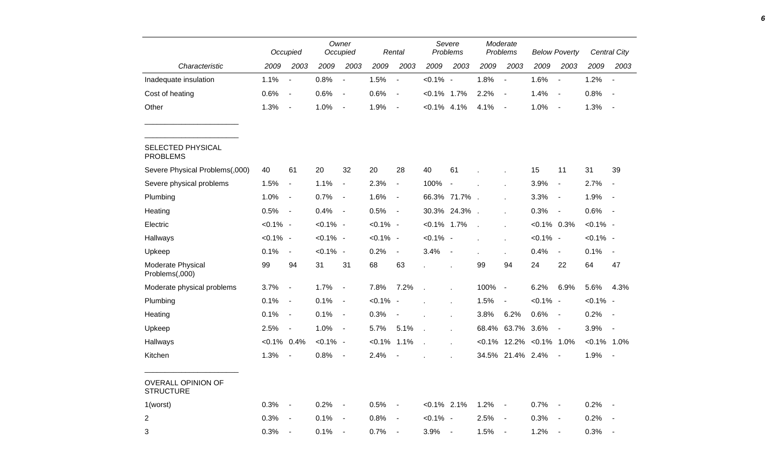|                                               | Occupied       |                          | Owner<br>Occupied |                          | Rental      |                              | Severe<br>Problems |                          | Moderate<br>Problems     |                          | <b>Below Poverty</b> |                          |                | <b>Central City</b>      |
|-----------------------------------------------|----------------|--------------------------|-------------------|--------------------------|-------------|------------------------------|--------------------|--------------------------|--------------------------|--------------------------|----------------------|--------------------------|----------------|--------------------------|
| Characteristic                                | 2009           | 2003                     | 2009              | 2003                     | 2009        | 2003                         | 2009               | 2003                     | 2009                     | 2003                     | 2009                 | 2003                     | 2009           | 2003                     |
| Inadequate insulation                         | 1.1%           | $\blacksquare$           | 0.8%              | $\blacksquare$           | 1.5%        | $\overline{\phantom{a}}$     | $< 0.1\%$ -        |                          | 1.8%                     | $\blacksquare$           | 1.6%                 | $\overline{\phantom{a}}$ | 1.2%           | $\overline{\phantom{a}}$ |
| Cost of heating                               | 0.6%           | $\blacksquare$           | 0.6%              | $\blacksquare$           | 0.6%        | $\overline{a}$               | $< 0.1\%$ 1.7%     |                          | 2.2%                     | $\overline{a}$           | 1.4%                 | $\blacksquare$           | 0.8%           | $\overline{\phantom{a}}$ |
| Other                                         | 1.3%           | $\overline{\phantom{a}}$ | 1.0%              | $\blacksquare$           | 1.9%        | $\blacksquare$               | $< 0.1\%$ 4.1%     |                          | 4.1%                     | $\overline{\phantom{a}}$ | 1.0%                 | $\overline{\phantom{a}}$ | 1.3%           | $\sim$                   |
| SELECTED PHYSICAL<br><b>PROBLEMS</b>          |                |                          |                   |                          |             |                              |                    |                          |                          |                          |                      |                          |                |                          |
| Severe Physical Problems(,000)                | 40             | 61                       | 20                | 32                       | 20          | 28                           | 40                 | 61                       |                          |                          | 15                   | 11                       | 31             | 39                       |
| Severe physical problems                      | 1.5%           | $\blacksquare$           | 1.1%              | $\blacksquare$           | 2.3%        | $\overline{\phantom{a}}$     | 100%               | $\overline{\phantom{a}}$ |                          |                          | 3.9%                 | $\overline{\phantom{a}}$ | 2.7%           | $\blacksquare$           |
| Plumbing                                      | 1.0%           | $\overline{\phantom{a}}$ | 0.7%              | $\overline{\phantom{a}}$ | 1.6%        | $\qquad \qquad \blacksquare$ |                    | 66.3% 71.7%              | $\sim$                   | $\mathbf{r}$             | 3.3%                 | $\overline{\phantom{a}}$ | 1.9%           | $\overline{\phantom{a}}$ |
| Heating                                       | 0.5%           | $\overline{\phantom{a}}$ | 0.4%              | $\blacksquare$           | 0.5%        | $\overline{\phantom{a}}$     | 30.3%              | 24.3%                    | $\overline{\phantom{a}}$ |                          | 0.3%                 | $\blacksquare$           | 0.6%           | $\sim$                   |
| Electric                                      | $< 0.1\%$ -    |                          | $< 0.1\%$ -       |                          | $< 0.1\%$ - |                              | $< 0.1\%$ 1.7%     |                          | $\overline{a}$           |                          | $< 0.1\%$ 0.3%       |                          | $< 0.1\%$ -    |                          |
| Hallways                                      | $< 0.1\%$ -    |                          | $< 0.1\%$ -       |                          | $< 0.1\%$ - |                              | $< 0.1\%$          | $\overline{\phantom{a}}$ |                          | ä,                       | $< 0.1\%$ -          |                          | $< 0.1\%$ -    |                          |
| Upkeep                                        | 0.1%           | $\overline{\phantom{a}}$ | $< 0.1\%$ -       |                          | 0.2%        | $\overline{\phantom{a}}$     | 3.4%               | $\overline{\phantom{a}}$ |                          |                          | 0.4%                 | $\overline{\phantom{a}}$ | 0.1%           | $\blacksquare$           |
| Moderate Physical<br>Problems(,000)           | 99             | 94                       | 31                | 31                       | 68          | 63                           |                    |                          | 99                       | 94                       | 24                   | 22                       | 64             | 47                       |
| Moderate physical problems                    | 3.7%           | $\overline{\phantom{a}}$ | 1.7%              | $\blacksquare$           | 7.8%        | 7.2%                         |                    |                          | 100%                     | $\overline{\phantom{a}}$ | 6.2%                 | 6.9%                     | 5.6%           | 4.3%                     |
| Plumbing                                      | 0.1%           | $\blacksquare$           | 0.1%              | $\blacksquare$           | $< 0.1\%$   | $\overline{\phantom{a}}$     |                    | $\overline{a}$           | 1.5%                     | $\overline{\phantom{a}}$ | $< 0.1\%$ -          |                          | $< 0.1\%$ -    |                          |
| Heating                                       | 0.1%           | $\blacksquare$           | 0.1%              | $\blacksquare$           | 0.3%        |                              |                    | J.                       | 3.8%                     | 6.2%                     | 0.6%                 | $\overline{\phantom{a}}$ | 0.2%           | $\overline{\phantom{a}}$ |
| Upkeep                                        | 2.5%           | $\overline{\phantom{a}}$ | 1.0%              | $\blacksquare$           | 5.7%        | 5.1%                         |                    |                          | 68.4%                    | 63.7%                    | 3.6%                 | $\blacksquare$           | 3.9%           | $\sim$                   |
| Hallways                                      | $< 0.1\%$ 0.4% |                          | $< 0.1\%$ -       |                          | $< 0.1\%$   | 1.1%                         | $\overline{a}$     |                          | $< 0.1\%$                | 12.2%                    | $< 0.1\%$ 1.0%       |                          | $< 0.1\%$ 1.0% |                          |
| Kitchen                                       | 1.3%           | $\blacksquare$           | 0.8%              | $\blacksquare$           | 2.4%        |                              |                    |                          | 34.5%                    | 21.4%                    | 2.4%                 | $\overline{\phantom{a}}$ | 1.9%           | $\overline{\phantom{a}}$ |
| <b>OVERALL OPINION OF</b><br><b>STRUCTURE</b> |                |                          |                   |                          |             |                              |                    |                          |                          |                          |                      |                          |                |                          |
| 1(worst)                                      | 0.3%           | $\overline{\phantom{a}}$ | 0.2%              | $\overline{\phantom{a}}$ | 0.5%        | $\overline{\phantom{a}}$     | $< 0.1\%$ 2.1%     |                          | 1.2%                     | $\blacksquare$           | 0.7%                 | $\overline{\phantom{a}}$ | 0.2%           |                          |
| 2                                             | 0.3%           | $\blacksquare$           | 0.1%              | $\blacksquare$           | 0.8%        | $\overline{\phantom{a}}$     | $< 0.1\%$ -        |                          | 2.5%                     | $\overline{\phantom{a}}$ | 0.3%                 | $\overline{\phantom{a}}$ | 0.2%           |                          |
| 3                                             | 0.3%           | $\sim$                   | 0.1%              | $\sim$                   | 0.7%        | $\sim$                       | 3.9%               | $\sim$                   | 1.5%                     | $\sim$                   | 1.2%                 | $\overline{\phantom{a}}$ | 0.3%           |                          |